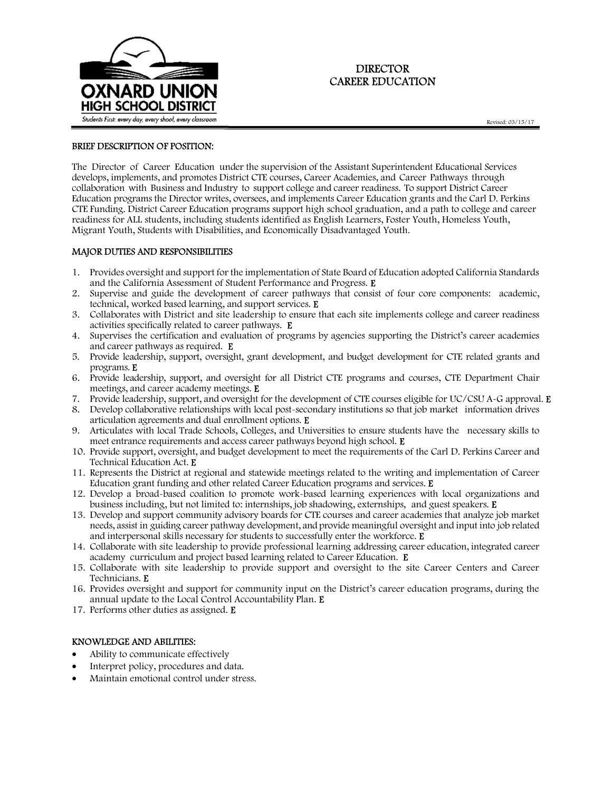

# DIRECTOR CAREER EDUCATION

### BRIEF DESCRIPTION OF POSITION:

The Director of Career Education under the supervision of the Assistant Superintendent Educational Services develops, implements, and promotes District CTE courses, Career Academies, and Career Pathways through collaboration with Business and Industry to support college and career readiness. To support District Career Education programs the Director writes, oversees, and implements Career Education grants and the Carl D. Perkins CTE Funding. District Career Education programs support high school graduation, and a path to college and career readiness for ALL students, including students identified as English Learners, Foster Youth, Homeless Youth, Migrant Youth, Students with Disabilities, and Economically Disadvantaged Youth.

#### MAJOR DUTIES AND RESPONSIBILITIES

- 1. Provides oversight and support for the implementation of State Board of Education adopted California Standards and the California Assessment of Student Performance and Progress. E
- 2. Supervise and guide the development of career pathways that consist of four core components: academic, technical, worked based learning, and support services. E
- 3. Collaborates with District and site leadership to ensure that each site implements college and career readiness activities specifically related to career pathways. E
- 4. Supervises the certification and evaluation of programs by agencies supporting the District's career academies and career pathways as required. E
- 5. Provide leadership, support, oversight, grant development, and budget development for CTE related grants and programs. E
- 6. Provide leadership, support, and oversight for all District CTE programs and courses, CTE Department Chair meetings, and career academy meetings. E
- 7. Provide leadership, support, and oversight for the development of CTE courses eligible for UC/CSU A-G approval. E
- 8. Develop collaborative relationships with local post-secondary institutions so that job market information drives articulation agreements and dual enrollment options. E
- 9. Articulates with local Trade Schools, Colleges, and Universities to ensure students have the necessary skills to meet entrance requirements and access career pathways beyond high school. E
- 10. Provide support, oversight, and budget development to meet the requirements of the Carl D. Perkins Career and Technical Education Act. E
- 11. Represents the District at regional and statewide meetings related to the writing and implementation of Career Education grant funding and other related Career Education programs and services. E
- 12. Develop a broad-based coalition to promote work-based learning experiences with local organizations and business including, but not limited to: internships, job shadowing, externships, and guest speakers. E
- 13. Develop and support community advisory boards for CTE courses and career academies that analyze job market needs, assist in guiding career pathway development, and provide meaningful oversight and input into job related and interpersonal skills necessary for students to successfully enter the workforce. E
- 14. Collaborate with site leadership to provide professional learning addressing career education, integrated career academy curriculum and project based learning related to Career Education. E
- 15. Collaborate with site leadership to provide support and oversight to the site Career Centers and Career Technicians. E
- 16. Provides oversight and support for community input on the District's career education programs, during the annual update to the Local Control Accountability Plan. E
- 17. Performs other duties as assigned. E

#### KNOWLEDGE AND ABILITIES:

- Ability to communicate effectively
- Interpret policy, procedures and data.
- Maintain emotional control under stress.